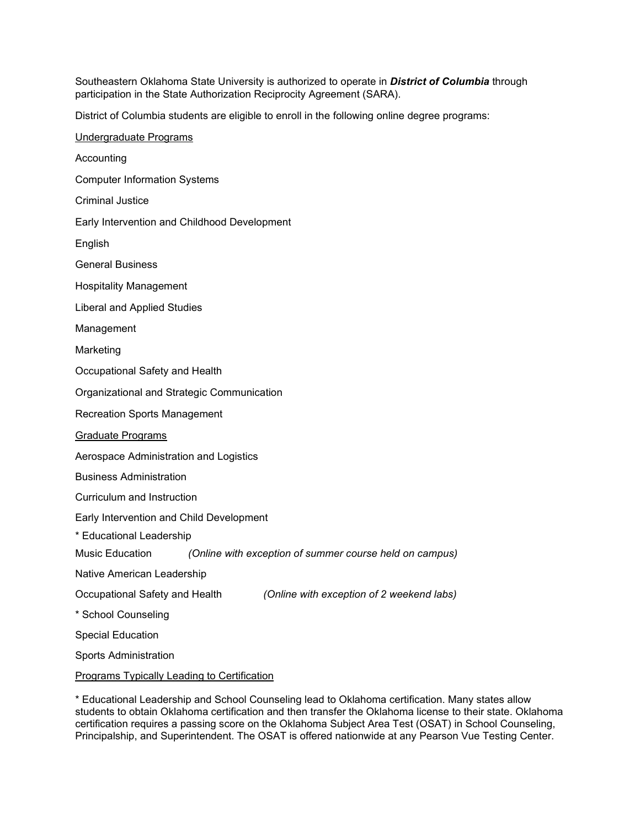Southeastern Oklahoma State University is authorized to operate in *District of Columbia* through participation in the State Authorization Reciprocity Agreement (SARA).

District of Columbia students are eligible to enroll in the following online degree programs:

Undergraduate Programs Accounting Computer Information Systems Criminal Justice Early Intervention and Childhood Development English General Business Hospitality Management Liberal and Applied Studies Management Marketing Occupational Safety and Health Organizational and Strategic Communication Recreation Sports Management Graduate Programs Aerospace Administration and Logistics Business Administration Curriculum and Instruction Early Intervention and Child Development \* Educational Leadership Music Education *(Online with exception of summer course held on campus)* Native American Leadership Occupational Safety and Health *(Online with exception of 2 weekend labs)* \* School Counseling Special Education Sports Administration Programs Typically Leading to Certification

\* Educational Leadership and School Counseling lead to Oklahoma certification. Many states allow students to obtain Oklahoma certification and then transfer the Oklahoma license to their state. Oklahoma certification requires a passing score on the Oklahoma Subject Area Test (OSAT) in School Counseling, Principalship, and Superintendent. The OSAT is offered nationwide at any Pearson Vue Testing Center.